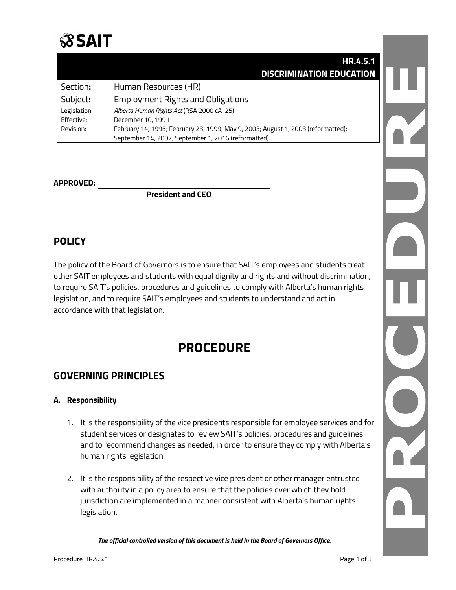

|              | HR.4.5.1                                                                         |  |
|--------------|----------------------------------------------------------------------------------|--|
|              | <b>DISCRIMINATION EDUCATION</b>                                                  |  |
| Section:     | Human Resources (HR)                                                             |  |
| Subject:     | <b>Employment Rights and Obligations</b>                                         |  |
| Legislation: | Alberta Human Rights Act (RSA 2000 cA-25)                                        |  |
| Effective:   | December 10, 1991                                                                |  |
| Revision:    | February 14, 1995; February 23, 1999; May 9, 2003; August 1, 2003 (reformatted); |  |
|              | September 14, 2007; September 1, 2016 (reformatted)                              |  |

#### **APPROVED:**

**President and CEO**

# **POLICY**

The policy of the Board of Governors is to ensure that SAIT's employees and students treat other SAIT employees and students with equal dignity and rights and without discrimination, to require SAIT's policies, procedures and guidelines to comply with Alberta's human rights legislation, and to require SAIT's employees and students to understand and act in accordance with that legislation.

# **PROCEDURE**

# **GOVERNING PRINCIPLES**

#### **A. Responsibility**

- 1. It is the responsibility of the vice presidents responsible for employee services and for student services or designates to review SAIT's policies, procedures and guidelines and to recommend changes as needed, in order to ensure they comply with Alberta's human rights legislation.
- 2. It is the responsibility of the respective vice president or other manager entrusted with authority in a policy area to ensure that the policies over which they hold jurisdiction are implemented in a manner consistent with Alberta's human rights legislation.

*The official controlled version of this document is held in the Board of Governors Office.*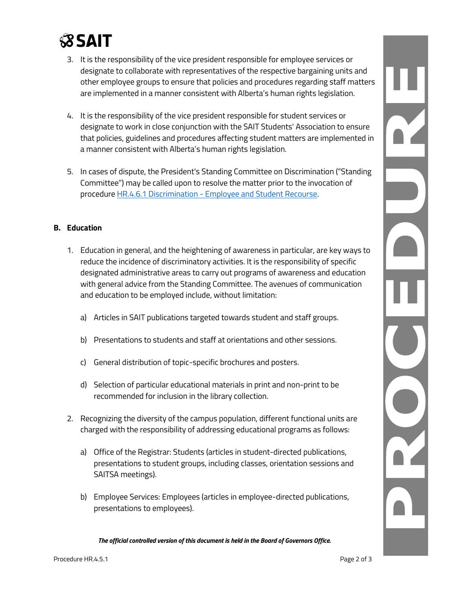# **SSAIT**

- 3. It is the responsibility of the vice president responsible for employee services or designate to collaborate with representatives of the respective bargaining units and other employee groups to ensure that policies and procedures regarding staff matters are implemented in a manner consistent with Alberta's human rights legislation.
- 4. It is the responsibility of the vice president responsible for student services or designate to work in close conjunction with the SAIT Students' Association to ensure that policies, guidelines and procedures affecting student matters are implemented in a manner consistent with Alberta's human rights legislation.
- 5. In cases of dispute, the President's Standing Committee on Discrimination ("Standing Committee") may be called upon to resolve the matter prior to the invocation of procedure HR.4.6.1 Discrimination - [Employee and Student Recourse.](http://www.sait.ca/Documents/About%20SAIT/Administration/Policies%20and%20Procedures/Human%20Resources/HR.4.6.1%20Discrimination-Employee%20and%20Student%20Recourse%20Procedures.pdf)

#### **B. Education**

- 1. Education in general, and the heightening of awareness in particular, are key ways to reduce the incidence of discriminatory activities. It is the responsibility of specific designated administrative areas to carry out programs of awareness and education with general advice from the Standing Committee. The avenues of communication and education to be employed include, without limitation:
	- a) Articles in SAIT publications targeted towards student and staff groups.
	- b) Presentations to students and staff at orientations and other sessions.
	- c) General distribution of topic-specific brochures and posters.
	- d) Selection of particular educational materials in print and non-print to be recommended for inclusion in the library collection.
- 2. Recognizing the diversity of the campus population, different functional units are charged with the responsibility of addressing educational programs as follows:
	- a) Office of the Registrar: Students (articles in student-directed publications, presentations to student groups, including classes, orientation sessions and SAITSA meetings).
	- b) Employee Services: Employees (articles in employee-directed publications, presentations to employees).

*The official controlled version of this document is held in the Board of Governors Office.*